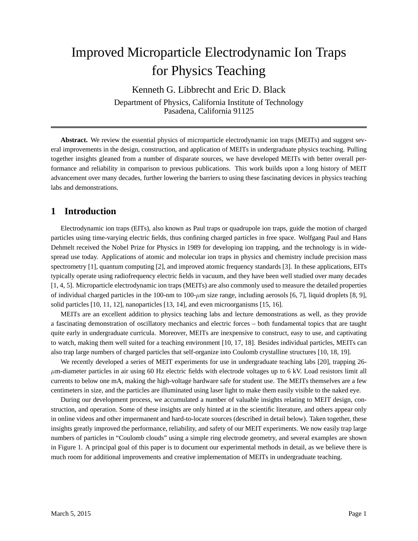# Improved Microparticle Electrodynamic Ion Traps for Physics Teaching

Kenneth G. Libbrecht and Eric D. Black Department of Physics, California Institute of Technology Pasadena, California 91125

**Abstract.** We review the essential physics of microparticle electrodynamic ion traps (MEITs) and suggest several improvements in the design, construction, and application of MEITs in undergraduate physics teaching. Pulling together insights gleaned from a number of disparate sources, we have developed MEITs with better overall performance and reliability in comparison to previous publications. This work builds upon a long history of MEIT advancement over many decades, further lowering the barriers to using these fascinating devices in physics teaching labs and demonstrations.

# **1 Introduction**

Electrodynamic ion traps (EITs), also known as Paul traps or quadrupole ion traps, guide the motion of charged particles using time-varying electric fields, thus confining charged particles in free space. Wolfgang Paul and Hans Dehmelt received the Nobel Prize for Physics in 1989 for developing ion trapping, and the technology is in widespread use today. Applications of atomic and molecular ion traps in physics and chemistry include precision mass spectrometry [1], quantum computing [2], and improved atomic frequency standards [3]. In these applications, EITs typically operate using radiofrequency electric fields in vacuum, and they have been well studied over many decades [1, 4, 5]. Microparticle electrodynamic ion traps (MEITs) are also commonly used to measure the detailed properties of individual charged particles in the 100-nm to 100- $\mu$ m size range, including aerosols [6, 7], liquid droplets [8, 9], solid particles [10, 11, 12], nanoparticles [13, 14], and even microorganisms [15, 16].

MEITs are an excellent addition to physics teaching labs and lecture demonstrations as well, as they provide a fascinating demonstration of oscillatory mechanics and electric forces – both fundamental topics that are taught quite early in undergraduate curricula. Moreover, MEITs are inexpensive to construct, easy to use, and captivating to watch, making them well suited for a teaching environment [10, 17, 18]. Besides individual particles, MEITs can also trap large numbers of charged particles that self-organize into Coulomb crystalline structures [10, 18, 19].

We recently developed a series of MEIT experiments for use in undergraduate teaching labs [20], trapping 26- $\mu$ m-diameter particles in air using 60 Hz electric fields with electrode voltages up to 6 kV. Load resistors limit all currents to below one mA, making the high-voltage hardware safe for student use. The MEITs themselves are a few centimeters in size, and the particles are illuminated using laser light to make them easily visible to the naked eye.

During our development process, we accumulated a number of valuable insights relating to MEIT design, construction, and operation. Some of these insights are only hinted at in the scientific literature, and others appear only in online videos and other impermanent and hard-to-locate sources (described in detail below). Taken together, these insights greatly improved the performance, reliability, and safety of our MEIT experiments. We now easily trap large numbers of particles in "Coulomb clouds" using a simple ring electrode geometry, and several examples are shown in Figure 1. A principal goal of this paper is to document our experimental methods in detail, as we believe there is much room for additional improvements and creative implementation of MEITs in undergraduate teaching.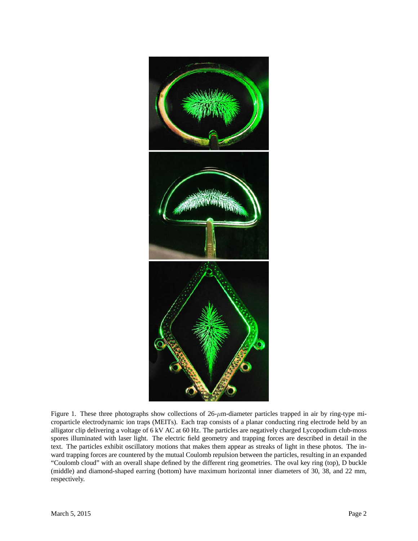

Figure 1. These three photographs show collections of  $26$ - $\mu$ m-diameter particles trapped in air by ring-type microparticle electrodynamic ion traps (MEITs). Each trap consists of a planar conducting ring electrode held by an alligator clip delivering a voltage of 6 kV AC at 60 Hz. The particles are negatively charged Lycopodium club-moss spores illuminated with laser light. The electric field geometry and trapping forces are described in detail in the text. The particles exhibit oscillatory motions that makes them appear as streaks of light in these photos. The inward trapping forces are countered by the mutual Coulomb repulsion between the particles, resulting in an expanded "Coulomb cloud" with an overall shape defined by the different ring geometries. The oval key ring (top), D buckle (middle) and diamond-shaped earring (bottom) have maximum horizontal inner diameters of 30, 38, and 22 mm, respectively.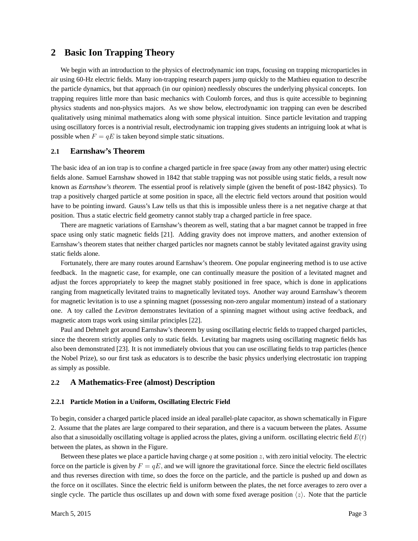## **2 Basic Ion Trapping Theory**

We begin with an introduction to the physics of electrodynamic ion traps, focusing on trapping microparticles in air using 60-Hz electric fields. Many ion-trapping research papers jump quickly to the Mathieu equation to describe the particle dynamics, but that approach (in our opinion) needlessly obscures the underlying physical concepts. Ion trapping requires little more than basic mechanics with Coulomb forces, and thus is quite accessible to beginning physics students and non-physics majors. As we show below, electrodynamic ion trapping can even be described qualitatively using minimal mathematics along with some physical intuition. Since particle levitation and trapping using oscillatory forces is a nontrivial result, electrodynamic ion trapping gives students an intriguing look at what is possible when  $F = qE$  is taken beyond simple static situations.

### **2.1 Earnshaw's Theorem**

The basic idea of an ion trap is to confine a charged particle in free space (away from any other matter) using electric fields alone. Samuel Earnshaw showed in 1842 that stable trapping was not possible using static fields, a result now known as *Earnshaw's theorem*. The essential proof is relatively simple (given the benefit of post-1842 physics). To trap a positively charged particle at some position in space, all the electric field vectors around that position would have to be pointing inward. Gauss's Law tells us that this is impossible unless there is a net negative charge at that position. Thus a static electric field geometry cannot stably trap a charged particle in free space.

There are magnetic variations of Earnshaw's theorem as well, stating that a bar magnet cannot be trapped in free space using only static magnetic fields [21]. Adding gravity does not improve matters, and another extension of Earnshaw's theorem states that neither charged particles nor magnets cannot be stably levitated against gravity using static fields alone.

Fortunately, there are many routes around Earnshaw's theorem. One popular engineering method is to use active feedback. In the magnetic case, for example, one can continually measure the position of a levitated magnet and adjust the forces appropriately to keep the magnet stably positioned in free space, which is done in applications ranging from magnetically levitated trains to magnetically levitated toys. Another way around Earnshaw's theorem for magnetic levitation is to use a spinning magnet (possessing non-zero angular momentum) instead of a stationary one. A toy called the *Levitron* demonstrates levitation of a spinning magnet without using active feedback, and magnetic atom traps work using similar principles [22].

Paul and Dehmelt got around Earnshaw's theorem by using oscillating electric fields to trapped charged particles, since the theorem strictly applies only to static fields. Levitating bar magnets using oscillating magnetic fields has also been demonstrated [23]. It is not immediately obvious that you can use oscillating fields to trap particles (hence the Nobel Prize), so our first task as educators is to describe the basic physics underlying electrostatic ion trapping as simply as possible.

### **2.2 A Mathematics-Free (almost) Description**

#### **2.2.1 Particle Motion in a Uniform, Oscillating Electric Field**

To begin, consider a charged particle placed inside an ideal parallel-plate capacitor, as shown schematically in Figure 2. Assume that the plates are large compared to their separation, and there is a vacuum between the plates. Assume also that a sinusoidally oscillating voltage is applied across the plates, giving a uniform. oscillating electric field  $E(t)$ between the plates, as shown in the Figure.

Between these plates we place a particle having charge q at some position  $z$ , with zero initial velocity. The electric force on the particle is given by  $F = qE$ , and we will ignore the gravitational force. Since the electric field oscillates and thus reverses direction with time, so does the force on the particle, and the particle is pushed up and down as the force on it oscillates. Since the electric field is uniform between the plates, the net force averages to zero over a single cycle. The particle thus oscillates up and down with some fixed average position  $\langle z \rangle$ . Note that the particle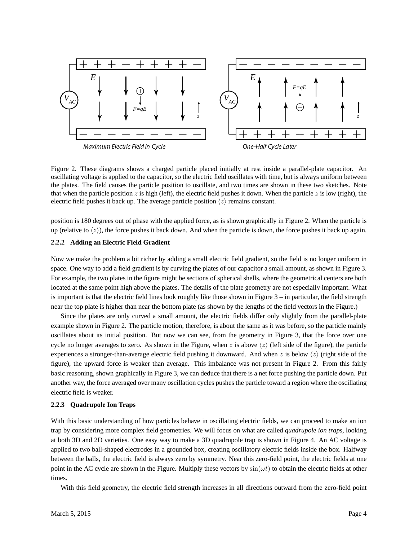

Figure 2. These diagrams shows a charged particle placed initially at rest inside a parallel-plate capacitor. An oscillating voltage is applied to the capacitor, so the electric field oscillates with time, but is always uniform between the plates. The field causes the particle position to oscillate, and two times are shown in these two sketches. Note that when the particle position z is high (left), the electric field pushes it down. When the particle z is low (right), the electric field pushes it back up. The average particle position  $\langle z \rangle$  remains constant.

position is 180 degrees out of phase with the applied force, as is shown graphically in Figure 2. When the particle is up (relative to  $\langle z \rangle$ ), the force pushes it back down. And when the particle is down, the force pushes it back up again.

#### **2.2.2 Adding an Electric Field Gradient**

Now we make the problem a bit richer by adding a small electric field gradient, so the field is no longer uniform in space. One way to add a field gradient is by curving the plates of our capacitor a small amount, as shown in Figure 3. For example, the two plates in the figure might be sections of spherical shells, where the geometrical centers are both located at the same point high above the plates. The details of the plate geometry are not especially important. What is important is that the electric field lines look roughly like those shown in Figure  $3 -$  in particular, the field strength near the top plate is higher than near the bottom plate (as shown by the lengths of the field vectors in the Figure.)

Since the plates are only curved a small amount, the electric fields differ only slightly from the parallel-plate example shown in Figure 2. The particle motion, therefore, is about the same as it was before, so the particle mainly oscillates about its initial position. But now we can see, from the geometry in Figure 3, that the force over one cycle no longer averages to zero. As shown in the Figure, when z is above  $\langle z \rangle$  (left side of the figure), the particle experiences a stronger-than-average electric field pushing it downward. And when z is below  $\langle z \rangle$  (right side of the figure), the upward force is weaker than average. This imbalance was not present in Figure 2. From this fairly basic reasoning, shown graphically in Figure 3, we can deduce that there is a net force pushing the particle down. Put another way, the force averaged over many oscillation cycles pushes the particle toward a region where the oscillating electric field is weaker.

#### **2.2.3 Quadrupole Ion Traps**

With this basic understanding of how particles behave in oscillating electric fields, we can proceed to make an ion trap by considering more complex field geometries. We will focus on what are called *quadrupole ion traps*, looking at both 3D and 2D varieties. One easy way to make a 3D quadrupole trap is shown in Figure 4. An AC voltage is applied to two ball-shaped electrodes in a grounded box, creating oscillatory electric fields inside the box. Halfway between the balls, the electric field is always zero by symmetry. Near this zero-field point, the electric fields at one point in the AC cycle are shown in the Figure. Multiply these vectors by  $sin(\omega t)$  to obtain the electric fields at other times.

With this field geometry, the electric field strength increases in all directions outward from the zero-field point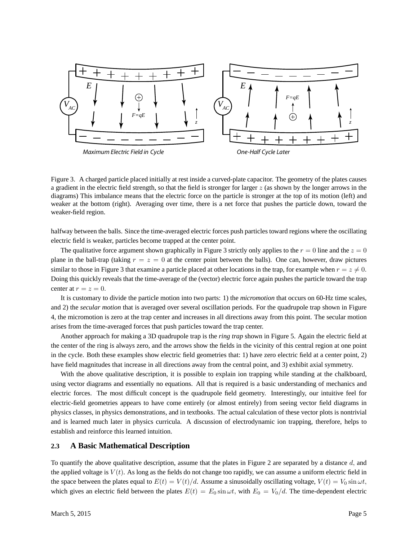

Figure 3. A charged particle placed initially at rest inside a curved-plate capacitor. The geometry of the plates causes a gradient in the electric field strength, so that the field is stronger for larger  $z$  (as shown by the longer arrows in the diagrams) This imbalance means that the electric force on the particle is stronger at the top of its motion (left) and weaker at the bottom (right). Averaging over time, there is a net force that pushes the particle down, toward the weaker-field region.

halfway between the balls. Since the time-averaged electric forces push particles toward regions where the oscillating electric field is weaker, particles become trapped at the center point.

The qualitative force argument shown graphically in Figure 3 strictly only applies to the  $r = 0$  line and the  $z = 0$ plane in the ball-trap (taking  $r = z = 0$  at the center point between the balls). One can, however, draw pictures similar to those in Figure 3 that examine a particle placed at other locations in the trap, for example when  $r = z \neq 0$ . Doing this quickly reveals that the time-average of the (vector) electric force again pushes the particle toward the trap center at  $r = z = 0$ .

It is customary to divide the particle motion into two parts: 1) the *micromotion* that occurs on 60-Hz time scales, and 2) the *secular motion* that is averaged over several oscillation periods. For the quadrupole trap shown in Figure 4, the micromotion is zero at the trap center and increases in all directions away from this point. The secular motion arises from the time-averaged forces that push particles toward the trap center.

Another approach for making a 3D quadrupole trap is the *ring trap* shown in Figure 5. Again the electric field at the center of the ring is always zero, and the arrows show the fields in the vicinity of this central region at one point in the cycle. Both these examples show electric field geometries that: 1) have zero electric field at a center point, 2) have field magnitudes that increase in all directions away from the central point, and 3) exhibit axial symmetry.

With the above qualitative description, it is possible to explain ion trapping while standing at the chalkboard, using vector diagrams and essentially no equations. All that is required is a basic understanding of mechanics and electric forces. The most difficult concept is the quadrupole field geometry. Interestingly, our intuitive feel for electric-field geometries appears to have come entirely (or almost entirely) from seeing vector field diagrams in physics classes, in physics demonstrations, and in textbooks. The actual calculation of these vector plots is nontrivial and is learned much later in physics curricula. A discussion of electrodynamic ion trapping, therefore, helps to establish and reinforce this learned intuition.

#### **2.3 A Basic Mathematical Description**

To quantify the above qualitative description, assume that the plates in Figure 2 are separated by a distance  $d$ , and the applied voltage is  $V(t)$ . As long as the fields do not change too rapidly, we can assume a uniform electric field in the space between the plates equal to  $E(t) = V(t)/d$ . Assume a sinusoidally oscillating voltage,  $V(t) = V_0 \sin \omega t$ , which gives an electric field between the plates  $E(t) = E_0 \sin \omega t$ , with  $E_0 = V_0/d$ . The time-dependent electric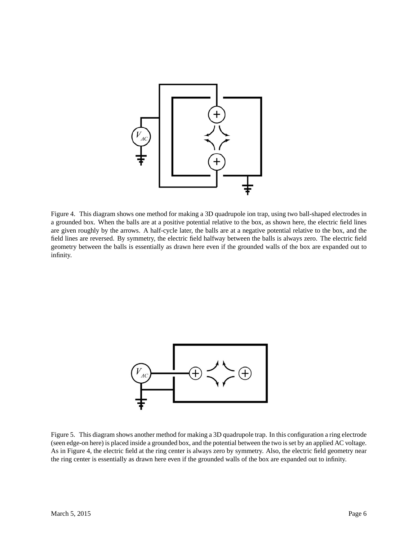

Figure 4. This diagram shows one method for making a 3D quadrupole ion trap, using two ball-shaped electrodes in a grounded box. When the balls are at a positive potential relative to the box, as shown here, the electric field lines are given roughly by the arrows. A half-cycle later, the balls are at a negative potential relative to the box, and the field lines are reversed. By symmetry, the electric field halfway between the balls is always zero. The electric field geometry between the balls is essentially as drawn here even if the grounded walls of the box are expanded out to infinity.



Figure 5. This diagram shows another method for making a 3D quadrupole trap. In this configuration a ring electrode (seen edge-on here) is placed inside a grounded box, and the potential between the two is set by an applied AC voltage. As in Figure 4, the electric field at the ring center is always zero by symmetry. Also, the electric field geometry near the ring center is essentially as drawn here even if the grounded walls of the box are expanded out to infinity.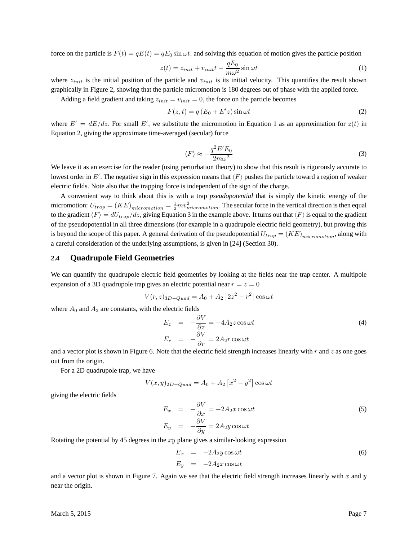force on the particle is  $F(t) = qE(t) = qE_0 \sin \omega t$ , and solving this equation of motion gives the particle position

$$
z(t) = z_{init} + v_{init}t - \frac{qE_0}{m\omega^2}\sin \omega t
$$
 (1)

where  $z_{init}$  is the initial position of the particle and  $v_{init}$  is its initial velocity. This quantifies the result shown graphically in Figure 2, showing that the particle micromotion is 180 degrees out of phase with the applied force.

Adding a field gradient and taking  $z_{init} = v_{init} = 0$ , the force on the particle becomes

$$
F(z,t) = q(E_0 + E'z)\sin \omega t
$$
\n(2)

where  $E' = dE/dz$ . For small E', we substitute the micromotion in Equation 1 as an approximation for  $z(t)$  in Equation 2, giving the approximate time-averaged (secular) force

$$
\langle F \rangle \approx -\frac{q^2 E' E_0}{2m\omega^2} \tag{3}
$$

We leave it as an exercise for the reader (using perturbation theory) to show that this result is rigorously accurate to lowest order in  $E'$ . The negative sign in this expression means that  $\langle F \rangle$  pushes the particle toward a region of weaker electric fields. Note also that the trapping force is independent of the sign of the charge.

A convenient way to think about this is with a trap *pseudopotential* that is simply the kinetic energy of the micromotion:  $U_{trap} = (KE)_{micromotion} = \frac{1}{2}mv_{micromotion}^2$ . The secular force in the vertical direction is then equal to the gradient  $\langle F \rangle = dU_{trap}/dz$ , giving Equation 3 in the example above. It turns out that  $\langle F \rangle$  is equal to the gradient of the pseudopotential in all three dimensions (for example in a quadrupole electric field geometry), but proving this is beyond the scope of this paper. A general derivation of the pseudopotential  $U_{trap} = (KE)_{micromotion}$ , along with a careful consideration of the underlying assumptions, is given in [24] (Section 30).

#### **2.4 Quadrupole Field Geometries**

We can quantify the quadrupole electric field geometries by looking at the fields near the trap center. A multipole expansion of a 3D quadrupole trap gives an electric potential near  $r = z = 0$ 

$$
V(r, z)_{3D-Quad} = A_0 + A_2 \left[2z^2 - r^2\right] \cos \omega t
$$

where  $A_0$  and  $A_2$  are constants, with the electric fields

$$
E_z = -\frac{\partial V}{\partial z} = -4A_2 z \cos \omega t
$$
  
\n
$$
E_r = -\frac{\partial V}{\partial r} = 2A_2 r \cos \omega t
$$
\n(4)

and a vector plot is shown in Figure 6. Note that the electric field strength increases linearly with  $r$  and  $z$  as one goes out from the origin.

For a 2D quadrupole trap, we have

$$
V(x, y)_{2D-Quad} = A_0 + A_2 [x^2 - y^2] \cos \omega t
$$

giving the electric fields

$$
E_x = -\frac{\partial V}{\partial x} = -2A_2 x \cos \omega t
$$
  
\n
$$
E_y = -\frac{\partial V}{\partial y} = 2A_2 y \cos \omega t
$$
\n(5)

Rotating the potential by 45 degrees in the  $xy$  plane gives a similar-looking expression

$$
E_x = -2A_2y\cos\omega t
$$
  
\n
$$
E_y = -2A_2x\cos\omega t
$$
\n(6)

and a vector plot is shown in Figure 7. Again we see that the electric field strength increases linearly with  $x$  and  $y$ near the origin.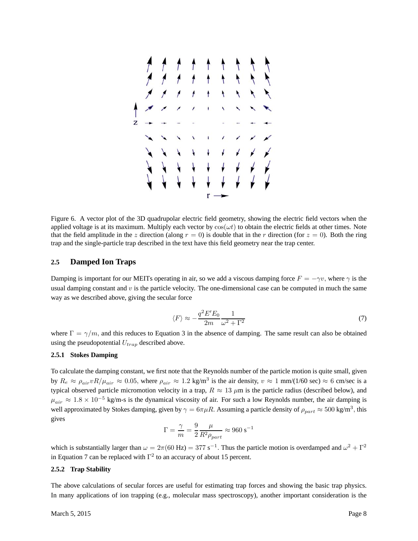

Figure 6. A vector plot of the 3D quadrupolar electric field geometry, showing the electric field vectors when the applied voltage is at its maximum. Multiply each vector by  $cos(\omega t)$  to obtain the electric fields at other times. Note that the field amplitude in the z direction (along  $r = 0$ ) is double that in the r direction (for  $z = 0$ ). Both the ring trap and the single-particle trap described in the text have this field geometry near the trap center.

#### **2.5 Damped Ion Traps**

Damping is important for our MEITs operating in air, so we add a viscous damping force  $F = -\gamma v$ , where  $\gamma$  is the usual damping constant and  $v$  is the particle velocity. The one-dimensional case can be computed in much the same way as we described above, giving the secular force

$$
\langle F \rangle \approx -\frac{q^2 E' E_0}{2m} \frac{1}{\omega^2 + \Gamma^2} \tag{7}
$$

where  $\Gamma = \gamma/m$ , and this reduces to Equation 3 in the absence of damping. The same result can also be obtained using the pseudopotential  $U_{tran}$  described above.

#### **2.5.1 Stokes Damping**

To calculate the damping constant, we first note that the Reynolds number of the particle motion is quite small, given by  $R_e \approx \rho_{air} v R / \mu_{air} \approx 0.05$ , where  $\rho_{air} \approx 1.2 \text{ kg/m}^3$  is the air density,  $v \approx 1 \text{ mm}/(1/60 \text{ sec}) \approx 6 \text{ cm/sec}$  is a typical observed particle micromotion velocity in a trap,  $R \approx 13 \ \mu m$  is the particle radius (described below), and  $\mu_{air} \approx 1.8 \times 10^{-5}$  kg/m-s is the dynamical viscosity of air. For such a low Reynolds number, the air damping is well approximated by Stokes damping, given by  $\gamma = 6\pi \mu R$ . Assuming a particle density of  $\rho_{part} \approx 500 \text{ kg/m}^3$ , this gives

$$
\Gamma = \frac{\gamma}{m} = \frac{9}{2} \frac{\mu}{R^2 \rho_{part}} \approx 960 \text{ s}^{-1}
$$

which is substantially larger than  $\omega = 2\pi (60 \text{ Hz}) = 377 \text{ s}^{-1}$ . Thus the particle motion is overdamped and  $\omega^2 + \Gamma^2$ in Equation 7 can be replaced with  $\Gamma^2$  to an accuracy of about 15 percent.

#### **2.5.2 Trap Stability**

The above calculations of secular forces are useful for estimating trap forces and showing the basic trap physics. In many applications of ion trapping (e.g., molecular mass spectroscopy), another important consideration is the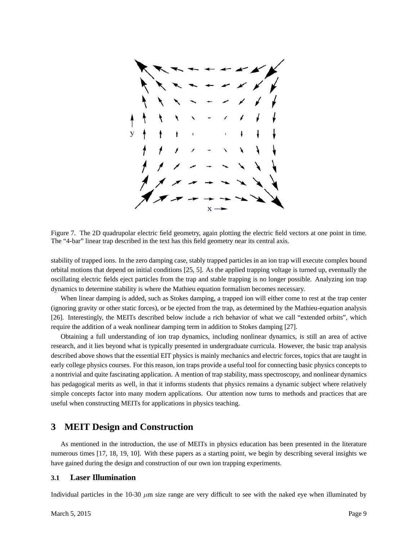

Figure 7. The 2D quadrupolar electric field geometry, again plotting the electric field vectors at one point in time. The "4-bar" linear trap described in the text has this field geometry near its central axis.

stability of trapped ions. In the zero damping case, stably trapped particles in an ion trap will execute complex bound orbital motions that depend on initial conditions [25, 5]. As the applied trapping voltage is turned up, eventually the oscillating electric fields eject particles from the trap and stable trapping is no longer possible. Analyzing ion trap dynamics to determine stability is where the Mathieu equation formalism becomes necessary.

When linear damping is added, such as Stokes damping, a trapped ion will either come to rest at the trap center (ignoring gravity or other static forces), or be ejected from the trap, as determined by the Mathieu-equation analysis [26]. Interestingly, the MEITs described below include a rich behavior of what we call "extended orbits", which require the addition of a weak nonlinear damping term in addition to Stokes damping [27].

Obtaining a full understanding of ion trap dynamics, including nonlinear dynamics, is still an area of active research, and it lies beyond what is typically presented in undergraduate curricula. However, the basic trap analysis described above shows that the essential EIT physics is mainly mechanics and electric forces, topics that are taught in early college physics courses. For this reason, ion traps provide a useful tool for connecting basic physics concepts to a nontrivial and quite fascinating application. A mention of trap stability, mass spectroscopy, and nonlinear dynamics has pedagogical merits as well, in that it informs students that physics remains a dynamic subject where relatively simple concepts factor into many modern applications. Our attention now turns to methods and practices that are useful when constructing MEITs for applications in physics teaching.

# **3 MEIT Design and Construction**

As mentioned in the introduction, the use of MEITs in physics education has been presented in the literature numerous times [17, 18, 19, 10]. With these papers as a starting point, we begin by describing several insights we have gained during the design and construction of our own ion trapping experiments.

#### **3.1 Laser Illumination**

Individual particles in the 10-30  $\mu$ m size range are very difficult to see with the naked eye when illuminated by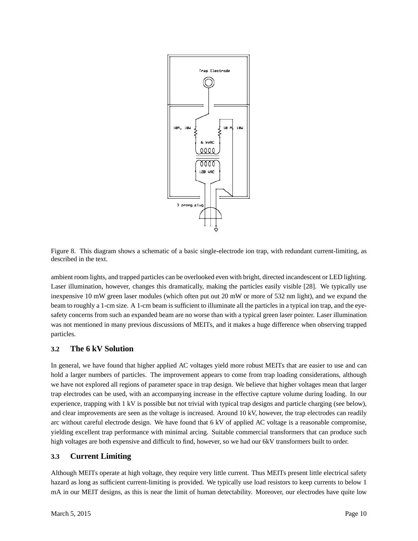

Figure 8. This diagram shows a schematic of a basic single-electrode ion trap, with redundant current-limiting, as described in the text.

ambient room lights, and trapped particles can be overlooked even with bright, directed incandescent or LED lighting. Laser illumination, however, changes this dramatically, making the particles easily visible [28]. We typically use inexpensive 10 mW green laser modules (which often put out 20 mW or more of 532 nm light), and we expand the beam to roughly a 1-cm size. A 1-cm beam is sufficient to illuminate all the particles in a typical ion trap, and the eyesafety concerns from such an expanded beam are no worse than with a typical green laser pointer. Laser illumination was not mentioned in many previous discussions of MEITs, and it makes a huge difference when observing trapped particles.

## **3.2 The 6 kV Solution**

In general, we have found that higher applied AC voltages yield more robust MEITs that are easier to use and can hold a larger numbers of particles. The improvement appears to come from trap loading considerations, although we have not explored all regions of parameter space in trap design. We believe that higher voltages mean that larger trap electrodes can be used, with an accompanying increase in the effective capture volume during loading. In our experience, trapping with 1 kV is possible but not trivial with typical trap designs and particle charging (see below), and clear improvements are seen as the voltage is increased. Around 10 kV, however, the trap electrodes can readily arc without careful electrode design. We have found that 6 kV of applied AC voltage is a reasonable compromise, yielding excellent trap performance with minimal arcing. Suitable commercial transformers that can produce such high voltages are both expensive and difficult to find, however, so we had our 6kV transformers built to order.

#### **3.3 Current Limiting**

Although MEITs operate at high voltage, they require very little current. Thus MEITs present little electrical safety hazard as long as sufficient current-limiting is provided. We typically use load resistors to keep currents to below 1 mA in our MEIT designs, as this is near the limit of human detectability. Moreover, our electrodes have quite low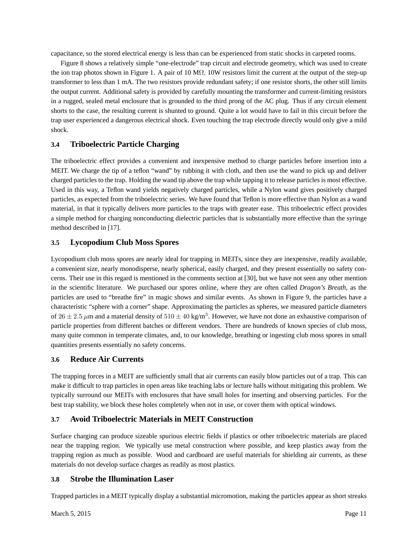capacitance, so the stored electrical energy is less than can be experienced from static shocks in carpeted rooms.

Figure 8 shows a relatively simple "one-electrode" trap circuit and electrode geometry, which was used to create the ion trap photos shown in Figure 1. A pair of 10 M $\Omega$ , 10W resistors limit the current at the output of the step-up transformer to less than 1 mA. The two resistors provide redundant safety; if one resistor shorts, the other still limits the output current. Additional safety is provided by carefully mounting the transformer and current-limiting resistors in a rugged, sealed metal enclosure that is grounded to the third prong of the AC plug. Thus if any circuit element shorts to the case, the resulting current is shunted to ground. Quite a lot would have to fail in this circuit before the trap user experienced a dangerous electrical shock. Even touching the trap electrode directly would only give a mild shock.

## **3.4 Triboelectric Particle Charging**

The triboelectric effect provides a convenient and inexpensive method to charge particles before insertion into a MEIT. We charge the tip of a teflon "wand" by rubbing it with cloth, and then use the wand to pick up and deliver charged particles to the trap. Holding the wand tip above the trap while tapping it to release particles is most effective. Used in this way, a Teflon wand yields negatively charged particles, while a Nylon wand gives positively charged particles, as expected from the triboelectric series. We have found that Teflon is more effective than Nylon as a wand material, in that it typically delivers more particles to the traps with greater ease. This triboelectric effect provides a simple method for charging nonconducting dielectric particles that is substantially more effective than the syringe method described in [17].

## **3.5 Lycopodium Club Moss Spores**

Lycopodium club moss spores are nearly ideal for trapping in MEITs, since they are inexpensive, readily available, a convenient size, nearly monodisperse, nearly spherical, easily charged, and they present essentially no safety concerns. Their use in this regard is mentioned in the comments section at [30], but we have not seen any other mention in the scientific literature. We purchased our spores online, where they are often called *Dragon's Breath*, as the particles are used to "breathe fire" in magic shows and similar events. As shown in Figure 9, the particles have a characteristic "sphere with a corner" shape. Approximating the particles as spheres, we measured particle diameters of  $26 \pm 2.5 \ \mu m$  and a material density of  $510 \pm 40 \ \text{kg/m}^3$ . However, we have not done an exhaustive comparison of particle properties from different batches or different vendors. There are hundreds of known species of club moss, many quite common in temperate climates, and, to our knowledge, breathing or ingesting club moss spores in small quantities presents essentially no safety concerns.

## **3.6 Reduce Air Currents**

The trapping forces in a MEIT are sufficiently small that air currents can easily blow particles out of a trap. This can make it difficult to trap particles in open areas like teaching labs or lecture halls without mitigating this problem. We typically surround our MEITs with enclosures that have small holes for inserting and observing particles. For the best trap stability, we block these holes completely when not in use, or cover them with optical windows.

## **3.7 Avoid Triboelectric Materials in MEIT Construction**

Surface charging can produce sizeable spurious electric fields if plastics or other triboelectric materials are placed near the trapping region. We typically use metal construction where possible, and keep plastics away from the trapping region as much as possible. Wood and cardboard are useful materials for shielding air currents, as these materials do not develop surface charges as readily as most plastics.

## **3.8 Strobe the Illumination Laser**

Trapped particles in a MEIT typically display a substantial micromotion, making the particles appear as short streaks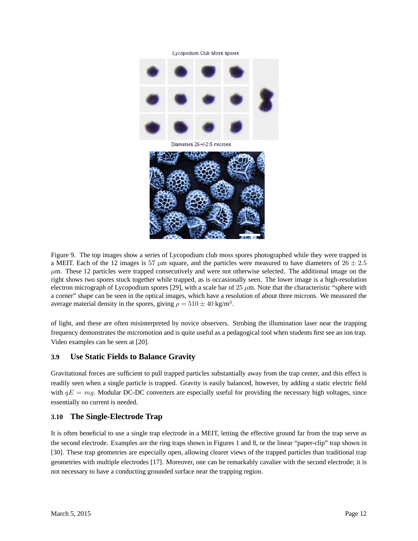



Figure 9. The top images show a series of Lycopodium club moss spores photographed while they were trapped in a MEIT. Each of the 12 images is 57  $\mu$ m square, and the particles were measured to have diameters of 26  $\pm$  2.5  $\mu$ m. These 12 particles were trapped consecutively and were not otherwise selected. The additional image on the right shows two spores stuck together while trapped, as is occasionally seen. The lower image is a high-resolution electron micrograph of Lycopodium spores [29], with a scale bar of  $25 \mu m$ . Note that the characteristic "sphere with a corner" shape can be seen in the optical images, which have a resolution of about three microns. We measured the average material density in the spores, giving  $\rho = 510 \pm 40$  kg/m<sup>3</sup>.

of light, and these are often misinterpreted by novice observers. Strobing the illumination laser near the trapping frequency demonstrates the micromotion and is quite useful as a pedagogical tool when students first see an ion trap. Video examples can be seen at [20].

## **3.9 Use Static Fields to Balance Gravity**

Gravitational forces are sufficient to pull trapped particles substantially away from the trap center, and this effect is readily seen when a single particle is trapped. Gravity is easily balanced, however, by adding a static electric field with  $qE = mg$ . Modular DC-DC converters are especially useful for providing the necessary high voltages, since essentially no current is needed.

## **3.10 The Single-Electrode Trap**

It is often beneficial to use a single trap electrode in a MEIT, letting the effective ground far from the trap serve as the second electrode. Examples are the ring traps shown in Figures 1 and 8, or the linear "paper-clip" trap shown in [30]. These trap geometries are especially open, allowing clearer views of the trapped particles than traditional trap geometries with multiple electrodes [17]. Moreover, one can be remarkably cavalier with the second electrode; it is not necessary to have a conducting grounded surface near the trapping region.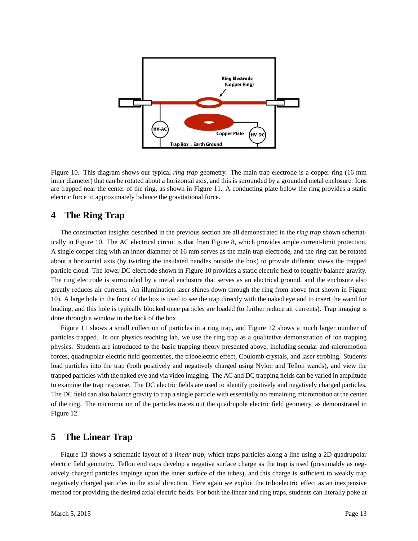

Figure 10. This diagram shows our typical *ring trap* geometry. The main trap electrode is a copper ring (16 mm inner diameter) that can be rotated about a horizontal axis, and this is surounded by a grounded metal enclosure. Ions are trapped near the center of the ring, as shown in Figure 11. A conducting plate below the ring provides a static electric force to approximately balance the gravitational force.

# **4 The Ring Trap**

The construction insights described in the previous section are all demonstrated in the *ring trap* shown schematically in Figure 10. The AC electrical circuit is that from Figure 8, which provides ample current-limit protection. A single copper ring with an inner diameter of 16 mm serves as the main trap electrode, and the ring can be rotated about a horizontal axis (by twirling the insulated handles outside the box) to provide different views the trapped particle cloud. The lower DC electrode shown in Figure 10 provides a static electric field to roughly balance gravity. The ring electrode is surrounded by a metal enclosure that serves as an electrical ground, and the enclosure also greatly reduces air currents. An illumination laser shines down through the ring from above (not shown in Figure 10). A large hole in the front of the box is used to see the trap directly with the naked eye and to insert the wand for loading, and this hole is typically blocked once particles are loaded (to further reduce air currents). Trap imaging is done through a window in the back of the box.

Figure 11 shows a small collection of particles in a ring trap, and Figure 12 shows a much larger number of particles trapped. In our physics teaching lab, we use the ring trap as a qualitative demonstration of ion trapping physics. Students are introduced to the basic trapping theory presented above, including secular and micromotion forces, quadrupolar electric field geometries, the triboelectric effect, Coulomb crystals, and laser strobing. Students load particles into the trap (both positively and negatively charged using Nylon and Teflon wands), and view the trapped particles with the naked eye and via video imaging. The AC and DC trapping fields can be varied in amplitude to examine the trap response. The DC electric fields are used to identify positively and negatively charged particles. The DC field can also balance gravity to trap a single particle with essentially no remaining micromotion at the center of the ring. The micromotion of the particles traces out the quadrupole electric field geometry, as demonstrated in Figure 12.

# **5 The Linear Trap**

Figure 13 shows a schematic layout of a *linear trap*, which traps particles along a line using a 2D quadrupolar electric field geometry. Teflon end caps develop a negative surface charge as the trap is used (presumably as negatively charged particles impinge upon the inner surface of the tubes), and this charge is sufficient to weakly trap negatively charged particles in the axial direction. Here again we exploit the triboelectric effect as an inexpensive method for providing the desired axial electric fields. For both the linear and ring traps, students can literally poke at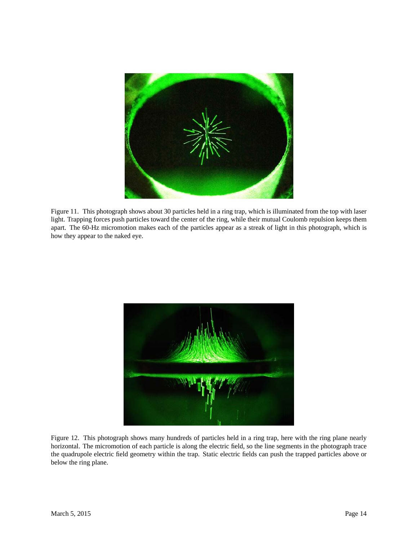

Figure 11. This photograph shows about 30 particles held in a ring trap, which is illuminated from the top with laser light. Trapping forces push particles toward the center of the ring, while their mutual Coulomb repulsion keeps them apart. The 60-Hz micromotion makes each of the particles appear as a streak of light in this photograph, which is how they appear to the naked eye.



Figure 12. This photograph shows many hundreds of particles held in a ring trap, here with the ring plane nearly horizontal. The micromotion of each particle is along the electric field, so the line segments in the photograph trace the quadrupole electric field geometry within the trap. Static electric fields can push the trapped particles above or below the ring plane.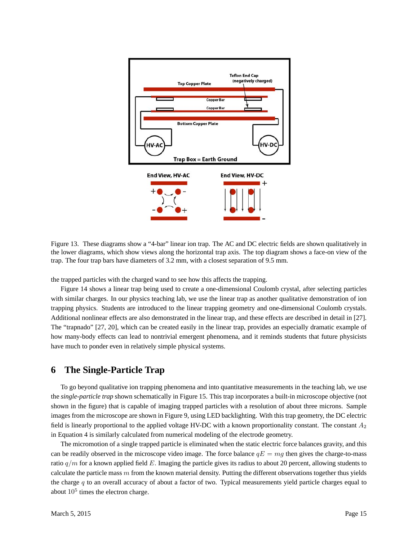

Figure 13. These diagrams show a "4-bar" linear ion trap. The AC and DC electric fields are shown qualitatively in the lower diagrams, which show views along the horizontal trap axis. The top diagram shows a face-on view of the trap. The four trap bars have diameters of 3.2 mm, with a closest separation of 9.5 mm.

the trapped particles with the charged wand to see how this affects the trapping.

Figure 14 shows a linear trap being used to create a one-dimensional Coulomb crystal, after selecting particles with similar charges. In our physics teaching lab, we use the linear trap as another qualitative demonstration of ion trapping physics. Students are introduced to the linear trapping geometry and one-dimensional Coulomb crystals. Additional nonlinear effects are also demonstrated in the linear trap, and these effects are described in detail in [27]. The "trapnado" [27, 20], which can be created easily in the linear trap, provides an especially dramatic example of how many-body effects can lead to nontrivial emergent phenomena, and it reminds students that future physicists have much to ponder even in relatively simple physical systems.

# **6 The Single-Particle Trap**

To go beyond qualitative ion trapping phenomena and into quantitative measurements in the teaching lab, we use the *single-particle trap* shown schematically in Figure 15. This trap incorporates a built-in microscope objective (not shown in the figure) that is capable of imaging trapped particles with a resolution of about three microns. Sample images from the microscope are shown in Figure 9, using LED backlighting. With this trap geometry, the DC electric field is linearly proportional to the applied voltage HV-DC with a known proportionality constant. The constant  $A_2$ in Equation 4 is similarly calculated from numerical modeling of the electrode geometry.

The micromotion of a single trapped particle is eliminated when the static electric force balances gravity, and this can be readily observed in the microscope video image. The force balance  $qE = mg$  then gives the charge-to-mass ratio  $q/m$  for a known applied field E. Imaging the particle gives its radius to about 20 percent, allowing students to calculate the particle mass  $m$  from the known material density. Putting the different observations together thus yields the charge  $q$  to an overall accuracy of about a factor of two. Typical measurements yield particle charges equal to about  $10<sup>5</sup>$  times the electron charge.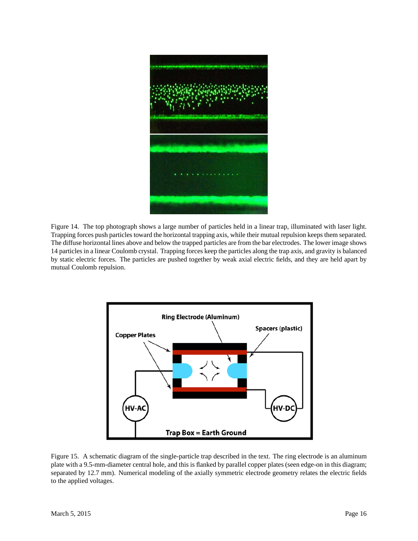

Figure 14. The top photograph shows a large number of particles held in a linear trap, illuminated with laser light. Trapping forces push particles toward the horizontal trapping axis, while their mutual repulsion keeps them separated. The diffuse horizontal lines above and below the trapped particles are from the bar electrodes. The lower image shows 14 particles in a linear Coulomb crystal. Trapping forces keep the particles along the trap axis, and gravity is balanced by static electric forces. The particles are pushed together by weak axial electric fields, and they are held apart by mutual Coulomb repulsion.



Figure 15. A schematic diagram of the single-particle trap described in the text. The ring electrode is an aluminum plate with a 9.5-mm-diameter central hole, and this is flanked by parallel copper plates (seen edge-on in this diagram; separated by 12.7 mm). Numerical modeling of the axially symmetric electrode geometry relates the electric fields to the applied voltages.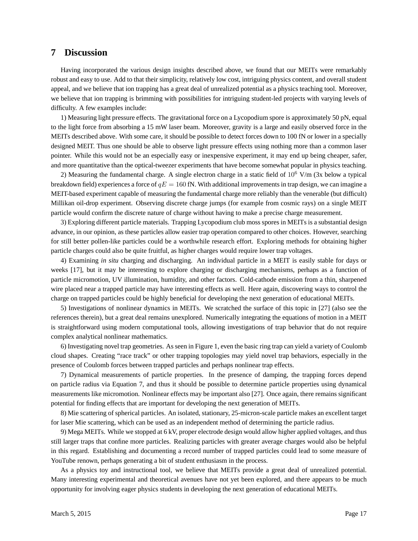# **7 Discussion**

Having incorporated the various design insights described above, we found that our MEITs were remarkably robust and easy to use. Add to that their simplicity, relatively low cost, intriguing physics content, and overall student appeal, and we believe that ion trapping has a great deal of unrealized potential as a physics teaching tool. Moreover, we believe that ion trapping is brimming with possibilities for intriguing student-led projects with varying levels of difficulty. A few examples include:

1) Measuring light pressure effects. The gravitational force on a Lycopodium spore is approximately 50 pN, equal to the light force from absorbing a 15 mW laser beam. Moreover, gravity is a large and easily observed force in the MEITs described above. With some care, it should be possible to detect forces down to 100 fN or lower in a specially designed MEIT. Thus one should be able to observe light pressure effects using nothing more than a common laser pointer. While this would not be an especially easy or inexpensive experiment, it may end up being cheaper, safer, and more quantitative than the optical-tweezer experiments that have become somewhat popular in physics teaching.

2) Measuring the fundamental charge. A single electron charge in a static field of  $10^6$  V/m (3x below a typical breakdown field) experiences a force of  $qE = 160$  fN. With additional improvements in trap design, we can imagine a MEIT-based experiment capable of measuring the fundamental charge more reliably than the venerable (but difficult) Millikan oil-drop experiment. Observing discrete charge jumps (for example from cosmic rays) on a single MEIT particle would confirm the discrete nature of charge without having to make a precise charge measurement.

3) Exploring different particle materials. Trapping Lycopodium club moss spores in MEITs is a substantial design advance, in our opinion, as these particles allow easier trap operation compared to other choices. However, searching for still better pollen-like particles could be a worthwhile research effort. Exploring methods for obtaining higher particle charges could also be quite fruitful, as higher charges would require lower trap voltages.

4) Examining *in situ* charging and discharging. An individual particle in a MEIT is easily stable for days or weeks [17], but it may be interesting to explore charging or discharging mechanisms, perhaps as a function of particle micromotion, UV illumination, humidity, and other factors. Cold-cathode emission from a thin, sharpened wire placed near a trapped particle may have interesting effects as well. Here again, discovering ways to control the charge on trapped particles could be highly beneficial for developing the next generation of educational MEITs.

5) Investigations of nonlinear dynamics in MEITs. We scratched the surface of this topic in [27] (also see the references therein), but a great deal remains unexplored. Numerically integrating the equations of motion in a MEIT is straightforward using modern computational tools, allowing investigations of trap behavior that do not require complex analytical nonlinear mathematics.

6) Investigating novel trap geometries. As seen in Figure 1, even the basic ring trap can yield a variety of Coulomb cloud shapes. Creating "race track" or other trapping topologies may yield novel trap behaviors, especially in the presence of Coulomb forces between trapped particles and perhaps nonlinear trap effects.

7) Dynamical measurements of particle properties. In the presence of damping, the trapping forces depend on particle radius via Equation 7, and thus it should be possible to determine particle properties using dynamical measurements like micromotion. Nonlinear effects may be important also [27]. Once again, there remains significant potential for finding effects that are important for developing the next generation of MEITs.

8) Mie scattering of spherical particles. An isolated, stationary, 25-micron-scale particle makes an excellent target for laser Mie scattering, which can be used as an independent method of determining the particle radius.

9) Mega MEITs. While we stopped at 6 kV, proper electrode design would allow higher applied voltages, and thus still larger traps that confine more particles. Realizing particles with greater average charges would also be helpful in this regard. Establishing and documenting a record number of trapped particles could lead to some measure of YouTube renown, perhaps generating a bit of student enthusiasm in the process.

As a physics toy and instructional tool, we believe that MEITs provide a great deal of unrealized potential. Many interesting experimental and theoretical avenues have not yet been explored, and there appears to be much opportunity for involving eager physics students in developing the next generation of educational MEITs.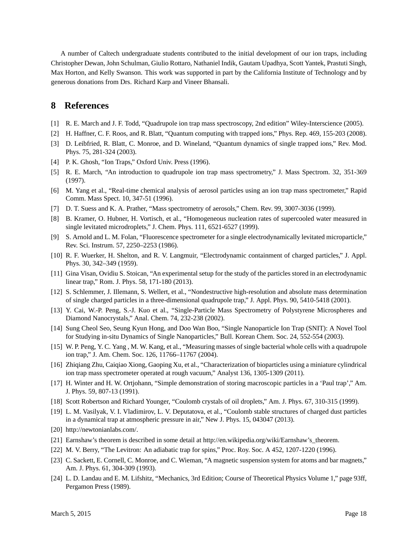A number of Caltech undergraduate students contributed to the initial development of our ion traps, including Christopher Dewan, John Schulman, Giulio Rottaro, Nathaniel Indik, Gautam Upadhya, Scott Yantek, Prastuti Singh, Max Horton, and Kelly Swanson. This work was supported in part by the California Institute of Technology and by generous donations from Drs. Richard Karp and Vineer Bhansali.

# **8 References**

- [1] R. E. March and J. F. Todd, "Quadrupole ion trap mass spectroscopy, 2nd edition" Wiley-Interscience (2005).
- [2] H. Haffner, C. F. Roos, and R. Blatt, "Quantum computing with trapped ions," Phys. Rep. 469, 155-203 (2008).
- [3] D. Leibfried, R. Blatt, C. Monroe, and D. Wineland, "Quantum dynamics of single trapped ions," Rev. Mod. Phys. 75, 281-324 (2003).
- [4] P. K. Ghosh, "Ion Traps," Oxford Univ. Press (1996).
- [5] R. E. March, "An introduction to quadrupole ion trap mass spectrometry," J. Mass Spectrom. 32, 351-369 (1997).
- [6] M. Yang et al., "Real-time chemical analysis of aerosol particles using an ion trap mass spectrometer," Rapid Comm. Mass Spect. 10, 347-51 (1996).
- [7] D. T. Suess and K. A. Prather, "Mass spectrometry of aerosols," Chem. Rev. 99, 3007-3036 (1999).
- [8] B. Kramer, O. Hubner, H. Vortisch, et al., "Homogeneous nucleation rates of supercooled water measured in single levitated microdroplets," J. Chem. Phys. 111, 6521-6527 (1999).
- [9] S. Arnold and L. M. Folan, "Fluorescence spectrometer for a single electrodynamically levitated microparticle," Rev. Sci. Instrum. 57, 2250–2253 (1986).
- [10] R. F. Wuerker, H. Shelton, and R. V. Langmuir, "Electrodynamic containment of charged particles," J. Appl. Phys. 30, 342–349 (1959).
- [11] Gina Visan, Ovidiu S. Stoican, "An experimental setup for the study of the particles stored in an electrodynamic linear trap," Rom. J. Phys. 58, 171-180 (2013).
- [12] S. Schlemmer, J. Illemann, S. Wellert, et al., "Nondestructive high-resolution and absolute mass determination of single charged particles in a three-dimensional quadrupole trap," J. Appl. Phys. 90, 5410-5418 (2001).
- [13] Y. Cai, W.-P. Peng, S.-J. Kuo et al., "Single-Particle Mass Spectrometry of Polystyrene Microspheres and Diamond Nanocrystals," Anal. Chem. 74, 232-238 (2002).
- [14] Sung Cheol Seo, Seung Kyun Hong, and Doo Wan Boo, "Single Nanoparticle Ion Trap (SNIT): A Novel Tool for Studying in-situ Dynamics of Single Nanoparticles," Bull. Korean Chem. Soc. 24, 552-554 (2003).
- [15] W. P. Peng, Y. C. Yang , M. W. Kang, et al., "Measuring masses of single bacterial whole cells with a quadrupole ion trap," J. Am. Chem. Soc. 126, 11766–11767 (2004).
- [16] Zhiqiang Zhu, Caiqiao Xiong, Gaoping Xu, et al., "Characterization of bioparticles using a miniature cylindrical ion trap mass spectrometer operated at rough vacuum," Analyst 136, 1305-1309 (2011).
- [17] H. Winter and H. W. Ortjohann, "Simple demonstration of storing macroscopic particles in a 'Paul trap'," Am. J. Phys. 59, 807-13 (1991).
- [18] Scott Robertson and Richard Younger, "Coulomb crystals of oil droplets," Am. J. Phys. 67, 310-315 (1999).
- [19] L. M. Vasilyak, V. I. Vladimirov, L. V. Deputatova, et al., "Coulomb stable structures of charged dust particles in a dynamical trap at atmospheric pressure in air," New J. Phys. 15, 043047 (2013).
- [20] http://newtonianlabs.com/.
- [21] Earnshaw's theorem is described in some detail at http://en.wikipedia.org/wiki/Earnshaw's\_theorem.
- [22] M. V. Berry, "The Levitron: An adiabatic trap for spins," Proc. Roy. Soc. A 452, 1207-1220 (1996).
- [23] C. Sackett, E. Cornell, C. Monroe, and C. Wieman, "A magnetic suspension system for atoms and bar magnets," Am. J. Phys. 61, 304-309 (1993).
- [24] L. D. Landau and E. M. Lifshitz, "Mechanics, 3rd Edition; Course of Theoretical Physics Volume 1," page 93ff, Pergamon Press (1989).